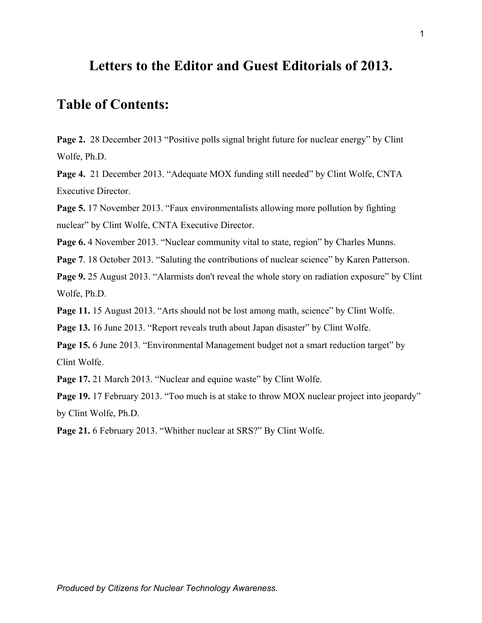## **Letters to the Editor and Guest Editorials of 2013.**

# **Table of Contents:**

**Page 2.** 28 December 2013 "Positive polls signal bright future for nuclear energy" by Clint Wolfe, Ph.D.

**Page 4.** 21 December 2013. "Adequate MOX funding still needed" by Clint Wolfe, CNTA Executive Director.

**Page 5.** 17 November 2013. "Faux environmentalists allowing more pollution by fighting nuclear" by Clint Wolfe, CNTA Executive Director.

Page 6.4 November 2013. "Nuclear community vital to state, region" by Charles Munns.

**Page 7.** 18 October 2013. "Saluting the contributions of nuclear science" by Karen Patterson.

**Page 9.** 25 August 2013. "Alarmists don't reveal the whole story on radiation exposure" by Clint Wolfe, Ph.D.

**Page 11.** 15 August 2013. "Arts should not be lost among math, science" by Clint Wolfe.

Page 13. 16 June 2013. "Report reveals truth about Japan disaster" by Clint Wolfe.

**Page 15.** 6 June 2013. "Environmental Management budget not a smart reduction target" by Clint Wolfe.

**Page 17.** 21 March 2013. "Nuclear and equine waste" by Clint Wolfe.

**Page 19.** 17 February 2013. "Too much is at stake to throw MOX nuclear project into jeopardy" by Clint Wolfe, Ph.D.

**Page 21.** 6 February 2013. "Whither nuclear at SRS?" By Clint Wolfe.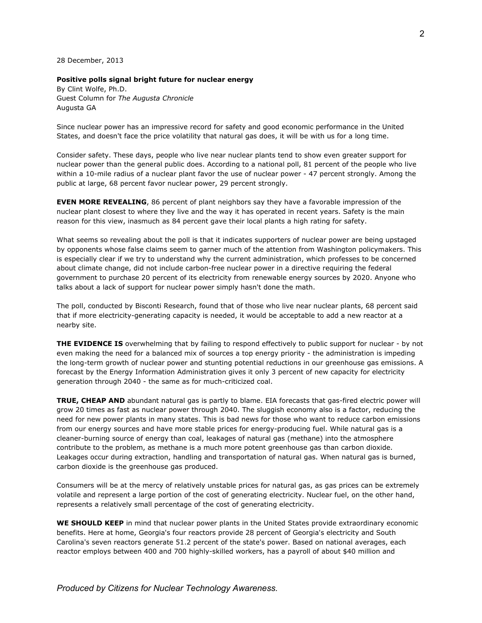28 December, 2013

## **Positive polls signal bright future for nuclear energy**

By Clint Wolfe, Ph.D. Guest Column for *The Augusta Chronicle* Augusta GA

Since nuclear power has an impressive record for safety and good economic performance in the United States, and doesn't face the price volatility that natural gas does, it will be with us for a long time.

Consider safety. These days, people who live near nuclear plants tend to show even greater support for nuclear power than the general public does. According to a national poll, 81 percent of the people who live within a 10-mile radius of a nuclear plant favor the use of nuclear power - 47 percent strongly. Among the public at large, 68 percent favor nuclear power, 29 percent strongly.

**EVEN MORE REVEALING**, 86 percent of plant neighbors say they have a favorable impression of the nuclear plant closest to where they live and the way it has operated in recent years. Safety is the main reason for this view, inasmuch as 84 percent gave their local plants a high rating for safety.

What seems so revealing about the poll is that it indicates supporters of nuclear power are being upstaged by opponents whose false claims seem to garner much of the attention from Washington policymakers. This is especially clear if we try to understand why the current administration, which professes to be concerned about climate change, did not include carbon-free nuclear power in a directive requiring the federal government to purchase 20 percent of its electricity from renewable energy sources by 2020. Anyone who talks about a lack of support for nuclear power simply hasn't done the math.

The poll, conducted by Bisconti Research, found that of those who live near nuclear plants, 68 percent said that if more electricity-generating capacity is needed, it would be acceptable to add a new reactor at a nearby site.

**THE EVIDENCE IS** overwhelming that by failing to respond effectively to public support for nuclear - by not even making the need for a balanced mix of sources a top energy priority - the administration is impeding the long-term growth of nuclear power and stunting potential reductions in our greenhouse gas emissions. A forecast by the Energy Information Administration gives it only 3 percent of new capacity for electricity generation through 2040 - the same as for much-criticized coal.

**TRUE, CHEAP AND** abundant natural gas is partly to blame. EIA forecasts that gas-fired electric power will grow 20 times as fast as nuclear power through 2040. The sluggish economy also is a factor, reducing the need for new power plants in many states. This is bad news for those who want to reduce carbon emissions from our energy sources and have more stable prices for energy-producing fuel. While natural gas is a cleaner-burning source of energy than coal, leakages of natural gas (methane) into the atmosphere contribute to the problem, as methane is a much more potent greenhouse gas than carbon dioxide. Leakages occur during extraction, handling and transportation of natural gas. When natural gas is burned, carbon dioxide is the greenhouse gas produced.

Consumers will be at the mercy of relatively unstable prices for natural gas, as gas prices can be extremely volatile and represent a large portion of the cost of generating electricity. Nuclear fuel, on the other hand, represents a relatively small percentage of the cost of generating electricity.

**WE SHOULD KEEP** in mind that nuclear power plants in the United States provide extraordinary economic benefits. Here at home, Georgia's four reactors provide 28 percent of Georgia's electricity and South Carolina's seven reactors generate 51.2 percent of the state's power. Based on national averages, each reactor employs between 400 and 700 highly-skilled workers, has a payroll of about \$40 million and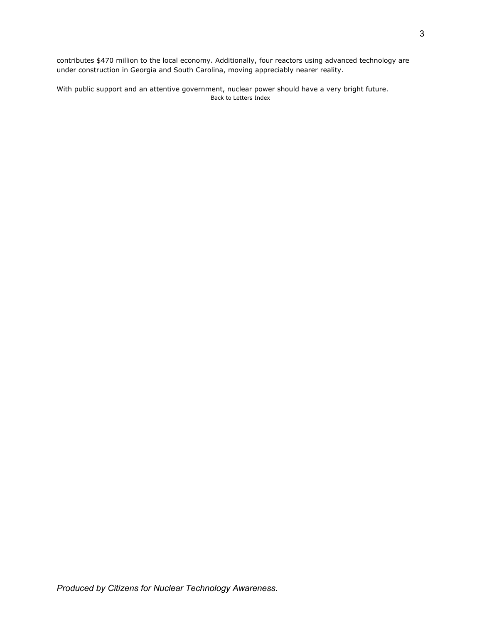contributes \$470 million to the local economy. Additionally, four reactors using advanced technology are under construction in Georgia and South Carolina, moving appreciably nearer reality.

With public support and an attentive government, nuclear power should have a very bright future. Back to Letters Index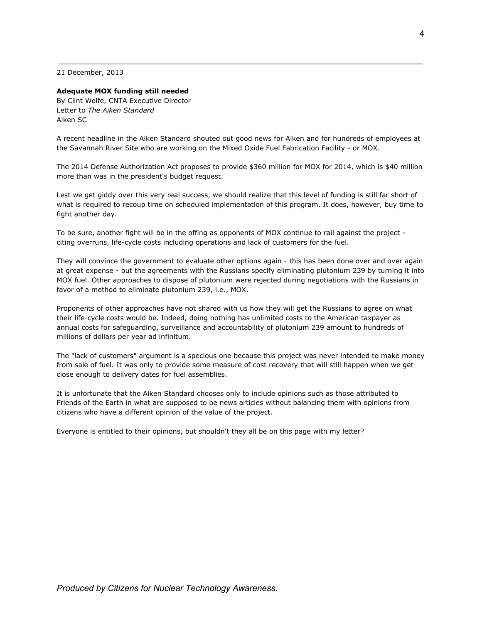21 December, 2013

## **Adequate MOX funding still needed**

By Clint Wolfe, CNTA Executive Director Letter to *The Aiken Standard* Aiken SC

A recent headline in the Aiken Standard shouted out good news for Aiken and for hundreds of employees at the Savannah River Site who are working on the Mixed Oxide Fuel Fabrication Facility - or MOX.

The 2014 Defense Authorization Act proposes to provide \$360 million for MOX for 2014, which is \$40 million more than was in the president's budget request.

Lest we get giddy over this very real success, we should realize that this level of funding is still far short of what is required to recoup time on scheduled implementation of this program. It does, however, buy time to fight another day.

To be sure, another fight will be in the offing as opponents of MOX continue to rail against the project citing overruns, life-cycle costs including operations and lack of customers for the fuel.

They will convince the government to evaluate other options again - this has been done over and over again at great expense - but the agreements with the Russians specify eliminating plutonium 239 by turning it into MOX fuel. Other approaches to dispose of plutonium were rejected during negotiations with the Russians in favor of a method to eliminate plutonium 239, i.e., MOX.

Proponents of other approaches have not shared with us how they will get the Russians to agree on what their life-cycle costs would be. Indeed, doing nothing has unlimited costs to the American taxpayer as annual costs for safeguarding, surveillance and accountability of plutonium 239 amount to hundreds of millions of dollars per year ad infinitum.

The "lack of customers" argument is a specious one because this project was never intended to make money from sale of fuel. It was only to provide some measure of cost recovery that will still happen when we get close enough to delivery dates for fuel assemblies.

It is unfortunate that the Aiken Standard chooses only to include opinions such as those attributed to Friends of the Earth in what are supposed to be news articles without balancing them with opinions from citizens who have a different opinion of the value of the project.

Everyone is entitled to their opinions, but shouldn't they all be on this page with my letter?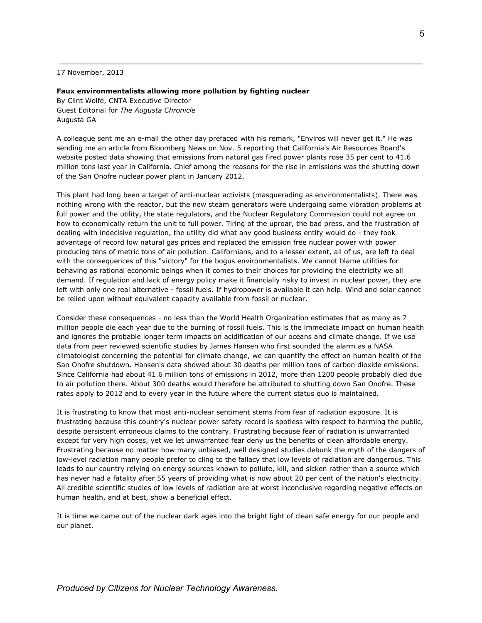17 November, 2013

#### **Faux environmentalists allowing more pollution by fighting nuclear**

By Clint Wolfe, CNTA Executive Director Guest Editorial for *The Augusta Chronicle* Augusta GA

A colleague sent me an e-mail the other day prefaced with his remark, "Enviros will never get it." He was sending me an article from Bloomberg News on Nov. 5 reporting that California's Air Resources Board's website posted data showing that emissions from natural gas fired power plants rose 35 per cent to 41.6 million tons last year in California. Chief among the reasons for the rise in emissions was the shutting down of the San Onofre nuclear power plant in January 2012.

This plant had long been a target of anti-nuclear activists (masquerading as environmentalists). There was nothing wrong with the reactor, but the new steam generators were undergoing some vibration problems at full power and the utility, the state regulators, and the Nuclear Regulatory Commission could not agree on how to economically return the unit to full power. Tiring of the uproar, the bad press, and the frustration of dealing with indecisive regulation, the utility did what any good business entity would do - they took advantage of record low natural gas prices and replaced the emission free nuclear power with power producing tens of metric tons of air pollution. Californians, and to a lesser extent, all of us, are left to deal with the consequences of this "victory" for the bogus environmentalists. We cannot blame utilities for behaving as rational economic beings when it comes to their choices for providing the electricity we all demand. If regulation and lack of energy policy make it financially risky to invest in nuclear power, they are left with only one real alternative - fossil fuels. If hydropower is available it can help. Wind and solar cannot be relied upon without equivalent capacity available from fossil or nuclear.

Consider these consequences - no less than the World Health Organization estimates that as many as 7 million people die each year due to the burning of fossil fuels. This is the immediate impact on human health and ignores the probable longer term impacts on acidification of our oceans and climate change. If we use data from peer reviewed scientific studies by James Hansen who first sounded the alarm as a NASA climatologist concerning the potential for climate change, we can quantify the effect on human health of the San Onofre shutdown. Hansen's data showed about 30 deaths per million tons of carbon dioxide emissions. Since California had about 41.6 million tons of emissions in 2012, more than 1200 people probably died due to air pollution there. About 300 deaths would therefore be attributed to shutting down San Onofre. These rates apply to 2012 and to every year in the future where the current status quo is maintained.

It is frustrating to know that most anti-nuclear sentiment stems from fear of radiation exposure. It is frustrating because this country's nuclear power safety record is spotless with respect to harming the public, despite persistent erroneous claims to the contrary. Frustrating because fear of radiation is unwarranted except for very high doses, yet we let unwarranted fear deny us the benefits of clean affordable energy. Frustrating because no matter how many unbiased, well designed studies debunk the myth of the dangers of low-level radiation many people prefer to cling to the fallacy that low levels of radiation are dangerous. This leads to our country relying on energy sources known to pollute, kill, and sicken rather than a source which has never had a fatality after 55 years of providing what is now about 20 per cent of the nation's electricity. All credible scientific studies of low levels of radiation are at worst inconclusive regarding negative effects on human health, and at best, show a beneficial effect.

It is time we came out of the nuclear dark ages into the bright light of clean safe energy for our people and our planet.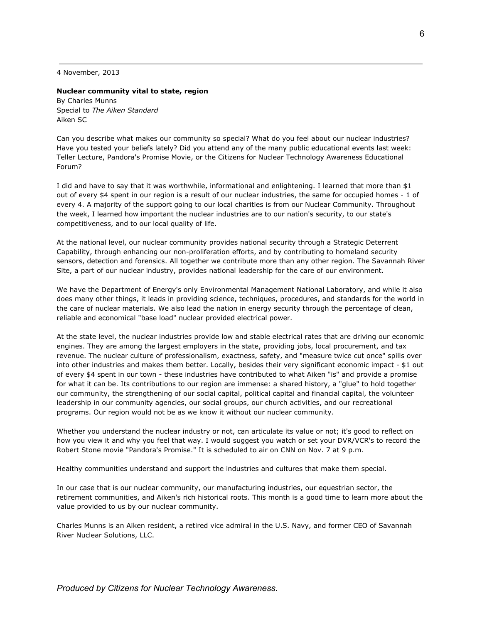4 November, 2013

## **Nuclear community vital to state, region**

By Charles Munns Special to *The Aiken Standard* Aiken SC

Can you describe what makes our community so special? What do you feel about our nuclear industries? Have you tested your beliefs lately? Did you attend any of the many public educational events last week: Teller Lecture, Pandora's Promise Movie, or the Citizens for Nuclear Technology Awareness Educational Forum?

I did and have to say that it was worthwhile, informational and enlightening. I learned that more than \$1 out of every \$4 spent in our region is a result of our nuclear industries, the same for occupied homes - 1 of every 4. A majority of the support going to our local charities is from our Nuclear Community. Throughout the week, I learned how important the nuclear industries are to our nation's security, to our state's competitiveness, and to our local quality of life.

At the national level, our nuclear community provides national security through a Strategic Deterrent Capability, through enhancing our non-proliferation efforts, and by contributing to homeland security sensors, detection and forensics. All together we contribute more than any other region. The Savannah River Site, a part of our nuclear industry, provides national leadership for the care of our environment.

We have the Department of Energy's only Environmental Management National Laboratory, and while it also does many other things, it leads in providing science, techniques, procedures, and standards for the world in the care of nuclear materials. We also lead the nation in energy security through the percentage of clean, reliable and economical "base load" nuclear provided electrical power.

At the state level, the nuclear industries provide low and stable electrical rates that are driving our economic engines. They are among the largest employers in the state, providing jobs, local procurement, and tax revenue. The nuclear culture of professionalism, exactness, safety, and "measure twice cut once" spills over into other industries and makes them better. Locally, besides their very significant economic impact - \$1 out of every \$4 spent in our town - these industries have contributed to what Aiken "is" and provide a promise for what it can be. Its contributions to our region are immense: a shared history, a "glue" to hold together our community, the strengthening of our social capital, political capital and financial capital, the volunteer leadership in our community agencies, our social groups, our church activities, and our recreational programs. Our region would not be as we know it without our nuclear community.

Whether you understand the nuclear industry or not, can articulate its value or not; it's good to reflect on how you view it and why you feel that way. I would suggest you watch or set your DVR/VCR's to record the Robert Stone movie "Pandora's Promise." It is scheduled to air on CNN on Nov. 7 at 9 p.m.

Healthy communities understand and support the industries and cultures that make them special.

In our case that is our nuclear community, our manufacturing industries, our equestrian sector, the retirement communities, and Aiken's rich historical roots. This month is a good time to learn more about the value provided to us by our nuclear community.

Charles Munns is an Aiken resident, a retired vice admiral in the U.S. Navy, and former CEO of Savannah River Nuclear Solutions, LLC.

*Produced by Citizens for Nuclear Technology Awareness.*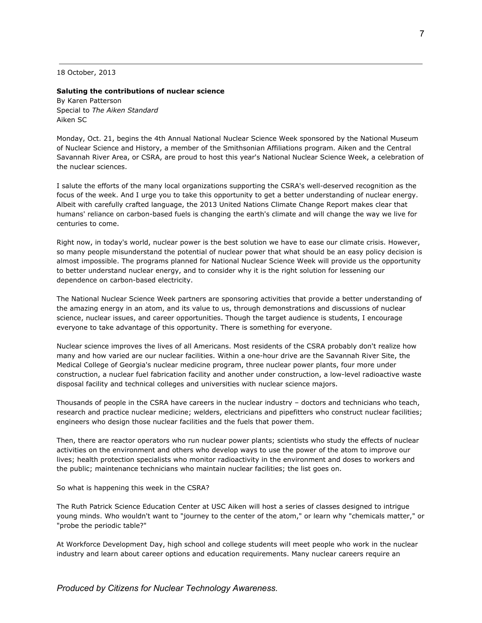18 October, 2013

## **Saluting the contributions of nuclear science**

By Karen Patterson Special to *The Aiken Standard* Aiken SC

Monday, Oct. 21, begins the 4th Annual National Nuclear Science Week sponsored by the National Museum of Nuclear Science and History, a member of the Smithsonian Affiliations program. Aiken and the Central Savannah River Area, or CSRA, are proud to host this year's National Nuclear Science Week, a celebration of the nuclear sciences.

I salute the efforts of the many local organizations supporting the CSRA's well-deserved recognition as the focus of the week. And I urge you to take this opportunity to get a better understanding of nuclear energy. Albeit with carefully crafted language, the 2013 United Nations Climate Change Report makes clear that humans' reliance on carbon-based fuels is changing the earth's climate and will change the way we live for centuries to come.

Right now, in today's world, nuclear power is the best solution we have to ease our climate crisis. However, so many people misunderstand the potential of nuclear power that what should be an easy policy decision is almost impossible. The programs planned for National Nuclear Science Week will provide us the opportunity to better understand nuclear energy, and to consider why it is the right solution for lessening our dependence on carbon-based electricity.

The National Nuclear Science Week partners are sponsoring activities that provide a better understanding of the amazing energy in an atom, and its value to us, through demonstrations and discussions of nuclear science, nuclear issues, and career opportunities. Though the target audience is students, I encourage everyone to take advantage of this opportunity. There is something for everyone.

Nuclear science improves the lives of all Americans. Most residents of the CSRA probably don't realize how many and how varied are our nuclear facilities. Within a one-hour drive are the Savannah River Site, the Medical College of Georgia's nuclear medicine program, three nuclear power plants, four more under construction, a nuclear fuel fabrication facility and another under construction, a low-level radioactive waste disposal facility and technical colleges and universities with nuclear science majors.

Thousands of people in the CSRA have careers in the nuclear industry – doctors and technicians who teach, research and practice nuclear medicine; welders, electricians and pipefitters who construct nuclear facilities; engineers who design those nuclear facilities and the fuels that power them.

Then, there are reactor operators who run nuclear power plants; scientists who study the effects of nuclear activities on the environment and others who develop ways to use the power of the atom to improve our lives; health protection specialists who monitor radioactivity in the environment and doses to workers and the public; maintenance technicians who maintain nuclear facilities; the list goes on.

So what is happening this week in the CSRA?

The Ruth Patrick Science Education Center at USC Aiken will host a series of classes designed to intrigue young minds. Who wouldn't want to "journey to the center of the atom," or learn why "chemicals matter," or "probe the periodic table?"

At Workforce Development Day, high school and college students will meet people who work in the nuclear industry and learn about career options and education requirements. Many nuclear careers require an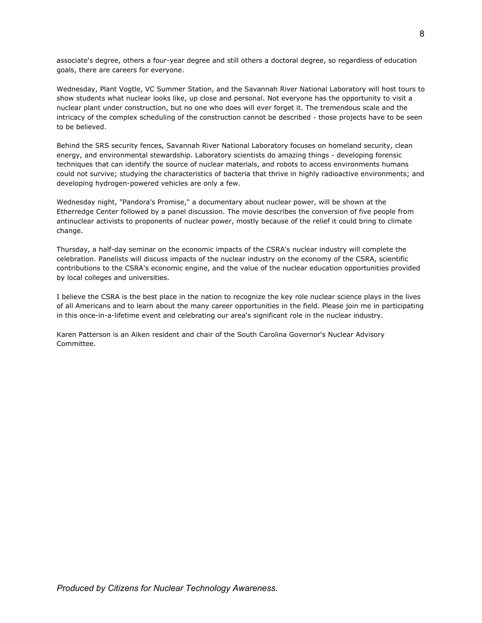associate's degree, others a four-year degree and still others a doctoral degree, so regardless of education goals, there are careers for everyone.

Wednesday, Plant Vogtle, VC Summer Station, and the Savannah River National Laboratory will host tours to show students what nuclear looks like, up close and personal. Not everyone has the opportunity to visit a nuclear plant under construction, but no one who does will ever forget it. The tremendous scale and the intricacy of the complex scheduling of the construction cannot be described - those projects have to be seen to be believed.

Behind the SRS security fences, Savannah River National Laboratory focuses on homeland security, clean energy, and environmental stewardship. Laboratory scientists do amazing things - developing forensic techniques that can identify the source of nuclear materials, and robots to access environments humans could not survive; studying the characteristics of bacteria that thrive in highly radioactive environments; and developing hydrogen-powered vehicles are only a few.

Wednesday night, "Pandora's Promise," a documentary about nuclear power, will be shown at the Etherredge Center followed by a panel discussion. The movie describes the conversion of five people from antinuclear activists to proponents of nuclear power, mostly because of the relief it could bring to climate change.

Thursday, a half-day seminar on the economic impacts of the CSRA's nuclear industry will complete the celebration. Panelists will discuss impacts of the nuclear industry on the economy of the CSRA, scientific contributions to the CSRA's economic engine, and the value of the nuclear education opportunities provided by local colleges and universities.

I believe the CSRA is the best place in the nation to recognize the key role nuclear science plays in the lives of all Americans and to learn about the many career opportunities in the field. Please join me in participating in this once-in-a-lifetime event and celebrating our area's significant role in the nuclear industry.

Karen Patterson is an Aiken resident and chair of the South Carolina Governor's Nuclear Advisory Committee.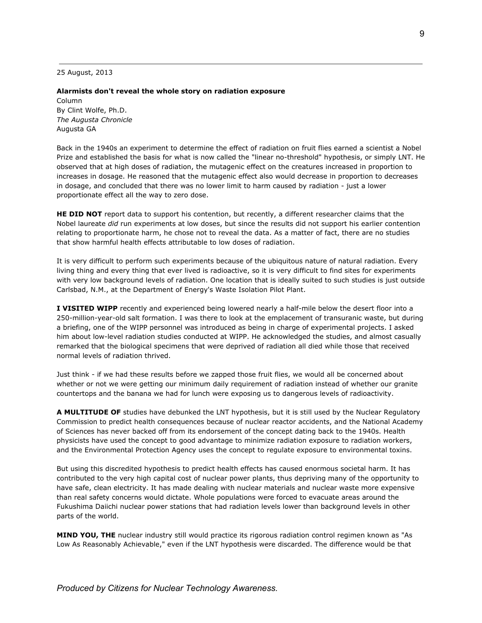25 August, 2013

#### **Alarmists don't reveal the whole story on radiation exposure**

Column By Clint Wolfe, Ph.D. *The Augusta Chronicle* Augusta GA

Back in the 1940s an experiment to determine the effect of radiation on fruit flies earned a scientist a Nobel Prize and established the basis for what is now called the "linear no-threshold" hypothesis, or simply LNT. He observed that at high doses of radiation, the mutagenic effect on the creatures increased in proportion to increases in dosage. He reasoned that the mutagenic effect also would decrease in proportion to decreases in dosage, and concluded that there was no lower limit to harm caused by radiation - just a lower proportionate effect all the way to zero dose.

**HE DID NOT** report data to support his contention, but recently, a different researcher claims that the Nobel laureate *did* run experiments at low doses, but since the results did not support his earlier contention relating to proportionate harm, he chose not to reveal the data. As a matter of fact, there are no studies that show harmful health effects attributable to low doses of radiation.

It is very difficult to perform such experiments because of the ubiquitous nature of natural radiation. Every living thing and every thing that ever lived is radioactive, so it is very difficult to find sites for experiments with very low background levels of radiation. One location that is ideally suited to such studies is just outside Carlsbad, N.M., at the Department of Energy's Waste Isolation Pilot Plant.

**I VISITED WIPP** recently and experienced being lowered nearly a half-mile below the desert floor into a 250-million-year-old salt formation. I was there to look at the emplacement of transuranic waste, but during a briefing, one of the WIPP personnel was introduced as being in charge of experimental projects. I asked him about low-level radiation studies conducted at WIPP. He acknowledged the studies, and almost casually remarked that the biological specimens that were deprived of radiation all died while those that received normal levels of radiation thrived.

Just think - if we had these results before we zapped those fruit flies, we would all be concerned about whether or not we were getting our minimum daily requirement of radiation instead of whether our granite countertops and the banana we had for lunch were exposing us to dangerous levels of radioactivity.

**A MULTITUDE OF** studies have debunked the LNT hypothesis, but it is still used by the Nuclear Regulatory Commission to predict health consequences because of nuclear reactor accidents, and the National Academy of Sciences has never backed off from its endorsement of the concept dating back to the 1940s. Health physicists have used the concept to good advantage to minimize radiation exposure to radiation workers, and the Environmental Protection Agency uses the concept to regulate exposure to environmental toxins.

But using this discredited hypothesis to predict health effects has caused enormous societal harm. It has contributed to the very high capital cost of nuclear power plants, thus depriving many of the opportunity to have safe, clean electricity. It has made dealing with nuclear materials and nuclear waste more expensive than real safety concerns would dictate. Whole populations were forced to evacuate areas around the Fukushima Daiichi nuclear power stations that had radiation levels lower than background levels in other parts of the world.

**MIND YOU, THE** nuclear industry still would practice its rigorous radiation control regimen known as "As Low As Reasonably Achievable," even if the LNT hypothesis were discarded. The difference would be that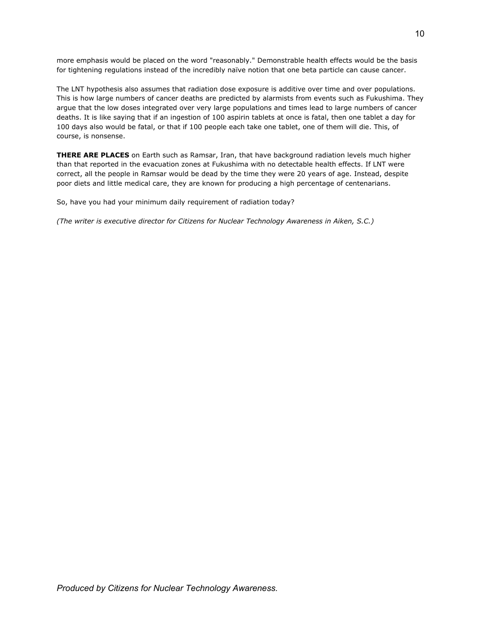more emphasis would be placed on the word "reasonably." Demonstrable health effects would be the basis for tightening regulations instead of the incredibly naïve notion that one beta particle can cause cancer.

The LNT hypothesis also assumes that radiation dose exposure is additive over time and over populations. This is how large numbers of cancer deaths are predicted by alarmists from events such as Fukushima. They argue that the low doses integrated over very large populations and times lead to large numbers of cancer deaths. It is like saying that if an ingestion of 100 aspirin tablets at once is fatal, then one tablet a day for 100 days also would be fatal, or that if 100 people each take one tablet, one of them will die. This, of course, is nonsense.

**THERE ARE PLACES** on Earth such as Ramsar, Iran, that have background radiation levels much higher than that reported in the evacuation zones at Fukushima with no detectable health effects. If LNT were correct, all the people in Ramsar would be dead by the time they were 20 years of age. Instead, despite poor diets and little medical care, they are known for producing a high percentage of centenarians.

So, have you had your minimum daily requirement of radiation today?

*(The writer is executive director for Citizens for Nuclear Technology Awareness in Aiken, S.C.)*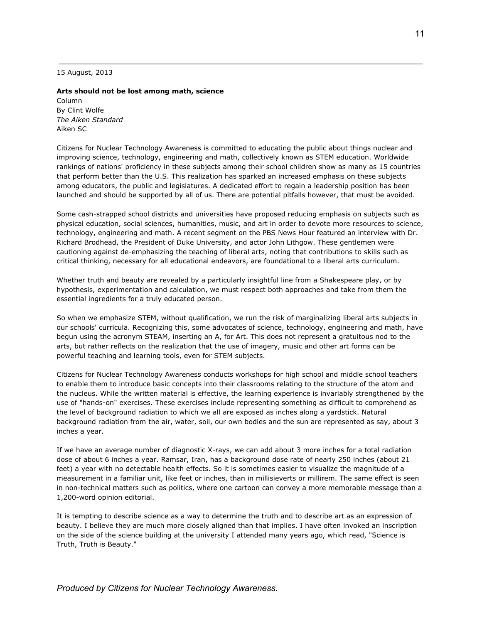15 August, 2013

## **Arts should not be lost among math, science**

Column By Clint Wolfe *The Aiken Standard* Aiken SC

Citizens for Nuclear Technology Awareness is committed to educating the public about things nuclear and improving science, technology, engineering and math, collectively known as STEM education. Worldwide rankings of nations' proficiency in these subjects among their school children show as many as 15 countries that perform better than the U.S. This realization has sparked an increased emphasis on these subjects among educators, the public and legislatures. A dedicated effort to regain a leadership position has been launched and should be supported by all of us. There are potential pitfalls however, that must be avoided.

Some cash-strapped school districts and universities have proposed reducing emphasis on subjects such as physical education, social sciences, humanities, music, and art in order to devote more resources to science, technology, engineering and math. A recent segment on the PBS News Hour featured an interview with Dr. Richard Brodhead, the President of Duke University, and actor John Lithgow. These gentlemen were cautioning against de-emphasizing the teaching of liberal arts, noting that contributions to skills such as critical thinking, necessary for all educational endeavors, are foundational to a liberal arts curriculum.

Whether truth and beauty are revealed by a particularly insightful line from a Shakespeare play, or by hypothesis, experimentation and calculation, we must respect both approaches and take from them the essential ingredients for a truly educated person.

So when we emphasize STEM, without qualification, we run the risk of marginalizing liberal arts subjects in our schools' curricula. Recognizing this, some advocates of science, technology, engineering and math, have begun using the acronym STEAM, inserting an A, for Art. This does not represent a gratuitous nod to the arts, but rather reflects on the realization that the use of imagery, music and other art forms can be powerful teaching and learning tools, even for STEM subjects.

Citizens for Nuclear Technology Awareness conducts workshops for high school and middle school teachers to enable them to introduce basic concepts into their classrooms relating to the structure of the atom and the nucleus. While the written material is effective, the learning experience is invariably strengthened by the use of "hands-on" exercises. These exercises include representing something as difficult to comprehend as the level of background radiation to which we all are exposed as inches along a yardstick. Natural background radiation from the air, water, soil, our own bodies and the sun are represented as say, about 3 inches a year.

If we have an average number of diagnostic X-rays, we can add about 3 more inches for a total radiation dose of about 6 inches a year. Ramsar, Iran, has a background dose rate of nearly 250 inches (about 21 feet) a year with no detectable health effects. So it is sometimes easier to visualize the magnitude of a measurement in a familiar unit, like feet or inches, than in millisieverts or millirem. The same effect is seen in non-technical matters such as politics, where one cartoon can convey a more memorable message than a 1,200-word opinion editorial.

It is tempting to describe science as a way to determine the truth and to describe art as an expression of beauty. I believe they are much more closely aligned than that implies. I have often invoked an inscription on the side of the science building at the university I attended many years ago, which read, "Science is Truth, Truth is Beauty."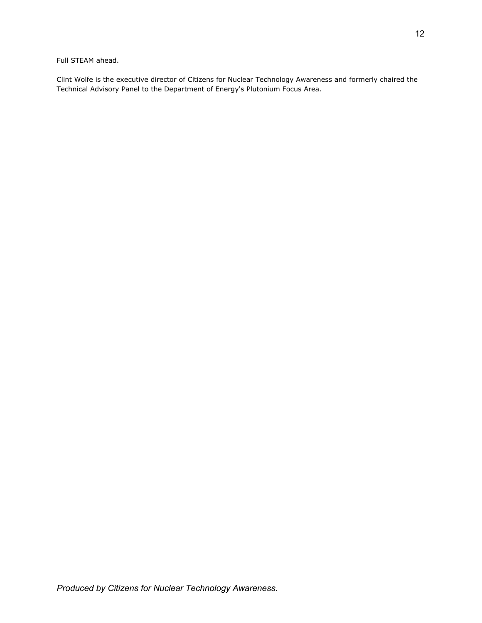Full STEAM ahead.

Clint Wolfe is the executive director of Citizens for Nuclear Technology Awareness and formerly chaired the Technical Advisory Panel to the Department of Energy's Plutonium Focus Area.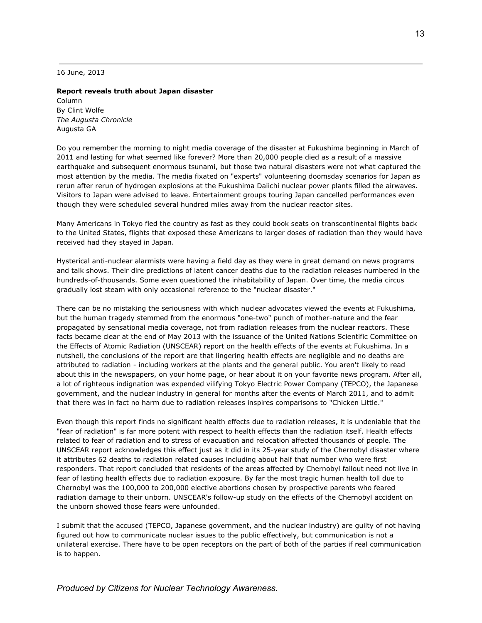16 June, 2013

## **Report reveals truth about Japan disaster**

Column By Clint Wolfe *The Augusta Chronicle* Augusta GA

Do you remember the morning to night media coverage of the disaster at Fukushima beginning in March of 2011 and lasting for what seemed like forever? More than 20,000 people died as a result of a massive earthquake and subsequent enormous tsunami, but those two natural disasters were not what captured the most attention by the media. The media fixated on "experts" volunteering doomsday scenarios for Japan as rerun after rerun of hydrogen explosions at the Fukushima Daiichi nuclear power plants filled the airwaves. Visitors to Japan were advised to leave. Entertainment groups touring Japan cancelled performances even though they were scheduled several hundred miles away from the nuclear reactor sites.

Many Americans in Tokyo fled the country as fast as they could book seats on transcontinental flights back to the United States, flights that exposed these Americans to larger doses of radiation than they would have received had they stayed in Japan.

Hysterical anti-nuclear alarmists were having a field day as they were in great demand on news programs and talk shows. Their dire predictions of latent cancer deaths due to the radiation releases numbered in the hundreds-of-thousands. Some even questioned the inhabitability of Japan. Over time, the media circus gradually lost steam with only occasional reference to the "nuclear disaster."

There can be no mistaking the seriousness with which nuclear advocates viewed the events at Fukushima, but the human tragedy stemmed from the enormous "one-two" punch of mother-nature and the fear propagated by sensational media coverage, not from radiation releases from the nuclear reactors. These facts became clear at the end of May 2013 with the issuance of the United Nations Scientific Committee on the Effects of Atomic Radiation (UNSCEAR) report on the health effects of the events at Fukushima. In a nutshell, the conclusions of the report are that lingering health effects are negligible and no deaths are attributed to radiation - including workers at the plants and the general public. You aren't likely to read about this in the newspapers, on your home page, or hear about it on your favorite news program. After all, a lot of righteous indignation was expended vilifying Tokyo Electric Power Company (TEPCO), the Japanese government, and the nuclear industry in general for months after the events of March 2011, and to admit that there was in fact no harm due to radiation releases inspires comparisons to "Chicken Little."

Even though this report finds no significant health effects due to radiation releases, it is undeniable that the "fear of radiation" is far more potent with respect to health effects than the radiation itself. Health effects related to fear of radiation and to stress of evacuation and relocation affected thousands of people. The UNSCEAR report acknowledges this effect just as it did in its 25-year study of the Chernobyl disaster where it attributes 62 deaths to radiation related causes including about half that number who were first responders. That report concluded that residents of the areas affected by Chernobyl fallout need not live in fear of lasting health effects due to radiation exposure. By far the most tragic human health toll due to Chernobyl was the 100,000 to 200,000 elective abortions chosen by prospective parents who feared radiation damage to their unborn. UNSCEAR's follow-up study on the effects of the Chernobyl accident on the unborn showed those fears were unfounded.

I submit that the accused (TEPCO, Japanese government, and the nuclear industry) are guilty of not having figured out how to communicate nuclear issues to the public effectively, but communication is not a unilateral exercise. There have to be open receptors on the part of both of the parties if real communication is to happen.

*Produced by Citizens for Nuclear Technology Awareness.*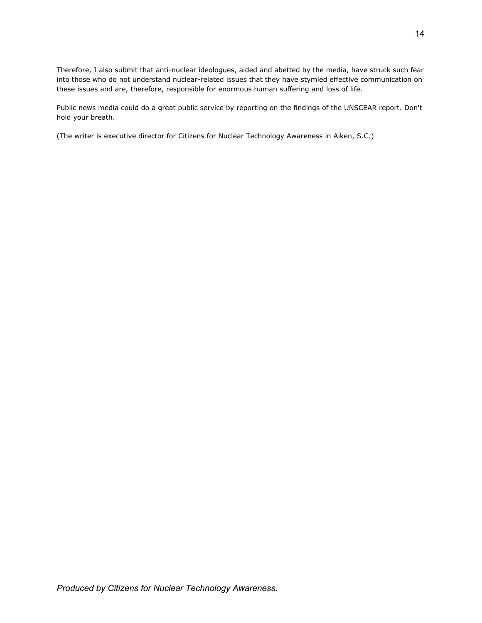Therefore, I also submit that anti-nuclear ideologues, aided and abetted by the media, have struck such fear into those who do not understand nuclear-related issues that they have stymied effective communication on these issues and are, therefore, responsible for enormous human suffering and loss of life.

Public news media could do a great public service by reporting on the findings of the UNSCEAR report. Don't hold your breath.

(The writer is executive director for Citizens for Nuclear Technology Awareness in Aiken, S.C.)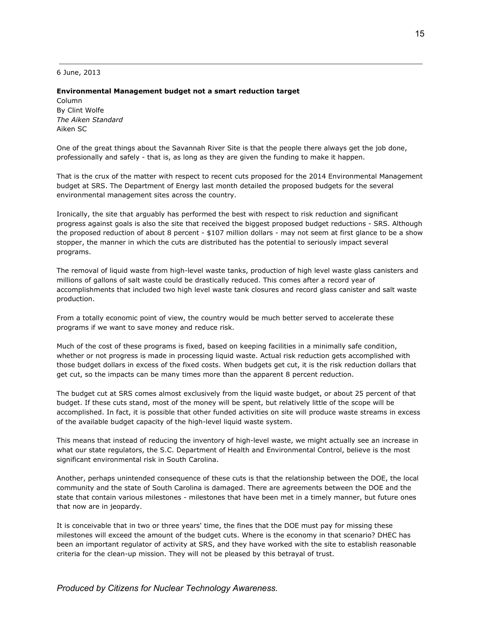6 June, 2013

#### **Environmental Management budget not a smart reduction target**

Column By Clint Wolfe *The Aiken Standard* Aiken SC

One of the great things about the Savannah River Site is that the people there always get the job done, professionally and safely - that is, as long as they are given the funding to make it happen.

That is the crux of the matter with respect to recent cuts proposed for the 2014 Environmental Management budget at SRS. The Department of Energy last month detailed the proposed budgets for the several environmental management sites across the country.

Ironically, the site that arguably has performed the best with respect to risk reduction and significant progress against goals is also the site that received the biggest proposed budget reductions - SRS. Although the proposed reduction of about 8 percent - \$107 million dollars - may not seem at first glance to be a show stopper, the manner in which the cuts are distributed has the potential to seriously impact several programs.

The removal of liquid waste from high-level waste tanks, production of high level waste glass canisters and millions of gallons of salt waste could be drastically reduced. This comes after a record year of accomplishments that included two high level waste tank closures and record glass canister and salt waste production.

From a totally economic point of view, the country would be much better served to accelerate these programs if we want to save money and reduce risk.

Much of the cost of these programs is fixed, based on keeping facilities in a minimally safe condition, whether or not progress is made in processing liquid waste. Actual risk reduction gets accomplished with those budget dollars in excess of the fixed costs. When budgets get cut, it is the risk reduction dollars that get cut, so the impacts can be many times more than the apparent 8 percent reduction.

The budget cut at SRS comes almost exclusively from the liquid waste budget, or about 25 percent of that budget. If these cuts stand, most of the money will be spent, but relatively little of the scope will be accomplished. In fact, it is possible that other funded activities on site will produce waste streams in excess of the available budget capacity of the high-level liquid waste system.

This means that instead of reducing the inventory of high-level waste, we might actually see an increase in what our state regulators, the S.C. Department of Health and Environmental Control, believe is the most significant environmental risk in South Carolina.

Another, perhaps unintended consequence of these cuts is that the relationship between the DOE, the local community and the state of South Carolina is damaged. There are agreements between the DOE and the state that contain various milestones - milestones that have been met in a timely manner, but future ones that now are in jeopardy.

It is conceivable that in two or three years' time, the fines that the DOE must pay for missing these milestones will exceed the amount of the budget cuts. Where is the economy in that scenario? DHEC has been an important regulator of activity at SRS, and they have worked with the site to establish reasonable criteria for the clean-up mission. They will not be pleased by this betrayal of trust.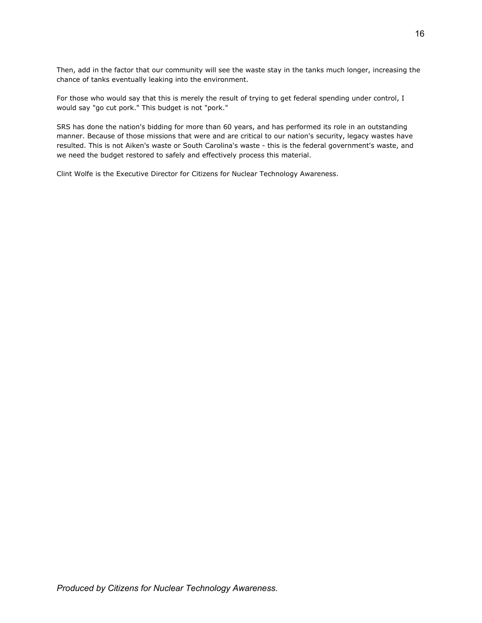Then, add in the factor that our community will see the waste stay in the tanks much longer, increasing the chance of tanks eventually leaking into the environment.

For those who would say that this is merely the result of trying to get federal spending under control, I would say "go cut pork." This budget is not "pork."

SRS has done the nation's bidding for more than 60 years, and has performed its role in an outstanding manner. Because of those missions that were and are critical to our nation's security, legacy wastes have resulted. This is not Aiken's waste or South Carolina's waste - this is the federal government's waste, and we need the budget restored to safely and effectively process this material.

Clint Wolfe is the Executive Director for Citizens for Nuclear Technology Awareness.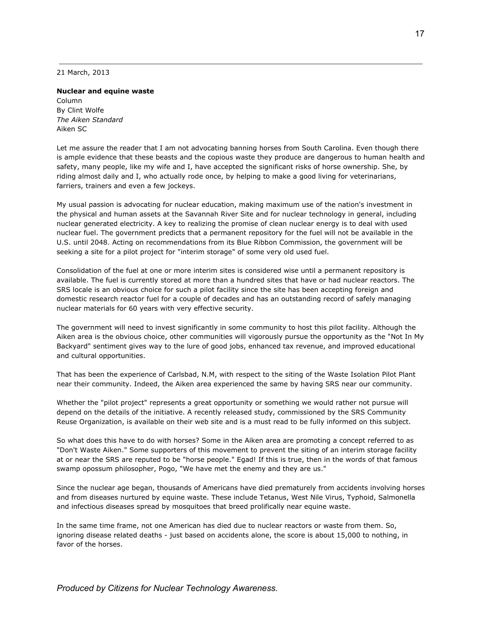21 March, 2013

## **Nuclear and equine waste**

Column By Clint Wolfe *The Aiken Standard* Aiken SC

Let me assure the reader that I am not advocating banning horses from South Carolina. Even though there is ample evidence that these beasts and the copious waste they produce are dangerous to human health and safety, many people, like my wife and I, have accepted the significant risks of horse ownership. She, by riding almost daily and I, who actually rode once, by helping to make a good living for veterinarians, farriers, trainers and even a few jockeys.

My usual passion is advocating for nuclear education, making maximum use of the nation's investment in the physical and human assets at the Savannah River Site and for nuclear technology in general, including nuclear generated electricity. A key to realizing the promise of clean nuclear energy is to deal with used nuclear fuel. The government predicts that a permanent repository for the fuel will not be available in the U.S. until 2048. Acting on recommendations from its Blue Ribbon Commission, the government will be seeking a site for a pilot project for "interim storage" of some very old used fuel.

Consolidation of the fuel at one or more interim sites is considered wise until a permanent repository is available. The fuel is currently stored at more than a hundred sites that have or had nuclear reactors. The SRS locale is an obvious choice for such a pilot facility since the site has been accepting foreign and domestic research reactor fuel for a couple of decades and has an outstanding record of safely managing nuclear materials for 60 years with very effective security.

The government will need to invest significantly in some community to host this pilot facility. Although the Aiken area is the obvious choice, other communities will vigorously pursue the opportunity as the "Not In My Backyard" sentiment gives way to the lure of good jobs, enhanced tax revenue, and improved educational and cultural opportunities.

That has been the experience of Carlsbad, N.M, with respect to the siting of the Waste Isolation Pilot Plant near their community. Indeed, the Aiken area experienced the same by having SRS near our community.

Whether the "pilot project" represents a great opportunity or something we would rather not pursue will depend on the details of the initiative. A recently released study, commissioned by the SRS Community Reuse Organization, is available on their web site and is a must read to be fully informed on this subject.

So what does this have to do with horses? Some in the Aiken area are promoting a concept referred to as "Don't Waste Aiken." Some supporters of this movement to prevent the siting of an interim storage facility at or near the SRS are reputed to be "horse people." Egad! If this is true, then in the words of that famous swamp opossum philosopher, Pogo, "We have met the enemy and they are us."

Since the nuclear age began, thousands of Americans have died prematurely from accidents involving horses and from diseases nurtured by equine waste. These include Tetanus, West Nile Virus, Typhoid, Salmonella and infectious diseases spread by mosquitoes that breed prolifically near equine waste.

In the same time frame, not one American has died due to nuclear reactors or waste from them. So, ignoring disease related deaths - just based on accidents alone, the score is about 15,000 to nothing, in favor of the horses.

*Produced by Citizens for Nuclear Technology Awareness.*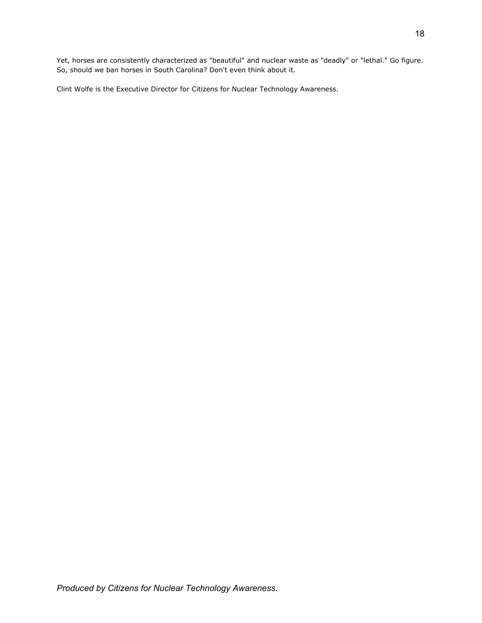Yet, horses are consistently characterized as "beautiful" and nuclear waste as "deadly" or "lethal." Go figure. So, should we ban horses in South Carolina? Don't even think about it.

Clint Wolfe is the Executive Director for Citizens for Nuclear Technology Awareness.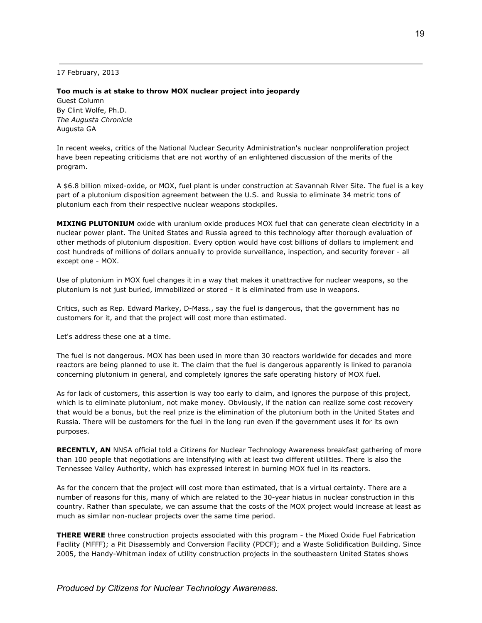17 February, 2013

## **Too much is at stake to throw MOX nuclear project into jeopardy**

Guest Column By Clint Wolfe, Ph.D. *The Augusta Chronicle* Augusta GA

In recent weeks, critics of the National Nuclear Security Administration's nuclear nonproliferation project have been repeating criticisms that are not worthy of an enlightened discussion of the merits of the program.

A \$6.8 billion mixed-oxide, or MOX, fuel plant is under construction at Savannah River Site. The fuel is a key part of a plutonium disposition agreement between the U.S. and Russia to eliminate 34 metric tons of plutonium each from their respective nuclear weapons stockpiles.

**MIXING PLUTONIUM** oxide with uranium oxide produces MOX fuel that can generate clean electricity in a nuclear power plant. The United States and Russia agreed to this technology after thorough evaluation of other methods of plutonium disposition. Every option would have cost billions of dollars to implement and cost hundreds of millions of dollars annually to provide surveillance, inspection, and security forever - all except one - MOX.

Use of plutonium in MOX fuel changes it in a way that makes it unattractive for nuclear weapons, so the plutonium is not just buried, immobilized or stored - it is eliminated from use in weapons.

Critics, such as Rep. Edward Markey, D-Mass., say the fuel is dangerous, that the government has no customers for it, and that the project will cost more than estimated.

Let's address these one at a time.

The fuel is not dangerous. MOX has been used in more than 30 reactors worldwide for decades and more reactors are being planned to use it. The claim that the fuel is dangerous apparently is linked to paranoia concerning plutonium in general, and completely ignores the safe operating history of MOX fuel.

As for lack of customers, this assertion is way too early to claim, and ignores the purpose of this project, which is to eliminate plutonium, not make money. Obviously, if the nation can realize some cost recovery that would be a bonus, but the real prize is the elimination of the plutonium both in the United States and Russia. There will be customers for the fuel in the long run even if the government uses it for its own purposes.

**RECENTLY, AN** NNSA official told a Citizens for Nuclear Technology Awareness breakfast gathering of more than 100 people that negotiations are intensifying with at least two different utilities. There is also the Tennessee Valley Authority, which has expressed interest in burning MOX fuel in its reactors.

As for the concern that the project will cost more than estimated, that is a virtual certainty. There are a number of reasons for this, many of which are related to the 30-year hiatus in nuclear construction in this country. Rather than speculate, we can assume that the costs of the MOX project would increase at least as much as similar non-nuclear projects over the same time period.

**THERE WERE** three construction projects associated with this program - the Mixed Oxide Fuel Fabrication Facility (MFFF); a Pit Disassembly and Conversion Facility (PDCF); and a Waste Solidification Building. Since 2005, the Handy-Whitman index of utility construction projects in the southeastern United States shows

*Produced by Citizens for Nuclear Technology Awareness.*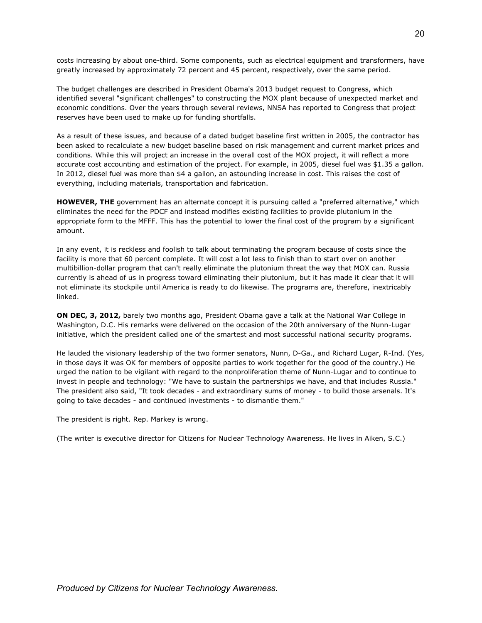costs increasing by about one-third. Some components, such as electrical equipment and transformers, have greatly increased by approximately 72 percent and 45 percent, respectively, over the same period.

The budget challenges are described in President Obama's 2013 budget request to Congress, which identified several "significant challenges" to constructing the MOX plant because of unexpected market and economic conditions. Over the years through several reviews, NNSA has reported to Congress that project reserves have been used to make up for funding shortfalls.

As a result of these issues, and because of a dated budget baseline first written in 2005, the contractor has been asked to recalculate a new budget baseline based on risk management and current market prices and conditions. While this will project an increase in the overall cost of the MOX project, it will reflect a more accurate cost accounting and estimation of the project. For example, in 2005, diesel fuel was \$1.35 a gallon. In 2012, diesel fuel was more than \$4 a gallon, an astounding increase in cost. This raises the cost of everything, including materials, transportation and fabrication.

**HOWEVER, THE** government has an alternate concept it is pursuing called a "preferred alternative," which eliminates the need for the PDCF and instead modifies existing facilities to provide plutonium in the appropriate form to the MFFF. This has the potential to lower the final cost of the program by a significant amount.

In any event, it is reckless and foolish to talk about terminating the program because of costs since the facility is more that 60 percent complete. It will cost a lot less to finish than to start over on another multibillion-dollar program that can't really eliminate the plutonium threat the way that MOX can. Russia currently is ahead of us in progress toward eliminating their plutonium, but it has made it clear that it will not eliminate its stockpile until America is ready to do likewise. The programs are, therefore, inextricably linked.

**ON DEC, 3, 2012,** barely two months ago, President Obama gave a talk at the National War College in Washington, D.C. His remarks were delivered on the occasion of the 20th anniversary of the Nunn-Lugar initiative, which the president called one of the smartest and most successful national security programs.

He lauded the visionary leadership of the two former senators, Nunn, D-Ga., and Richard Lugar, R-Ind. (Yes, in those days it was OK for members of opposite parties to work together for the good of the country.) He urged the nation to be vigilant with regard to the nonproliferation theme of Nunn-Lugar and to continue to invest in people and technology: "We have to sustain the partnerships we have, and that includes Russia." The president also said, "It took decades - and extraordinary sums of money - to build those arsenals. It's going to take decades - and continued investments - to dismantle them."

The president is right. Rep. Markey is wrong.

(The writer is executive director for Citizens for Nuclear Technology Awareness. He lives in Aiken, S.C.)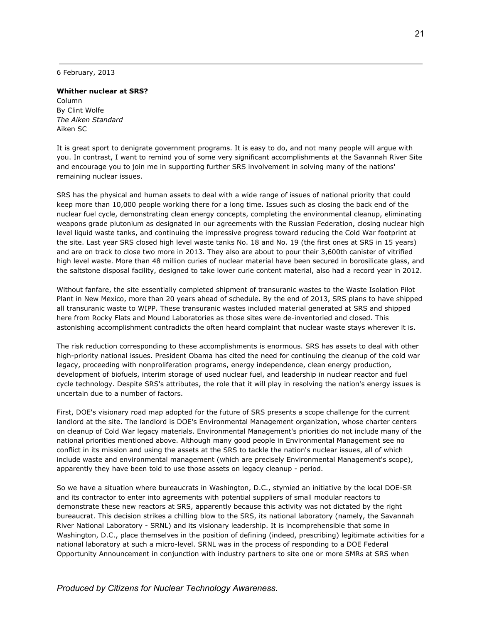6 February, 2013

## **Whither nuclear at SRS?**

Column By Clint Wolfe *The Aiken Standard* Aiken SC

It is great sport to denigrate government programs. It is easy to do, and not many people will argue with you. In contrast, I want to remind you of some very significant accomplishments at the Savannah River Site and encourage you to join me in supporting further SRS involvement in solving many of the nations' remaining nuclear issues.

SRS has the physical and human assets to deal with a wide range of issues of national priority that could keep more than 10,000 people working there for a long time. Issues such as closing the back end of the nuclear fuel cycle, demonstrating clean energy concepts, completing the environmental cleanup, eliminating weapons grade plutonium as designated in our agreements with the Russian Federation, closing nuclear high level liquid waste tanks, and continuing the impressive progress toward reducing the Cold War footprint at the site. Last year SRS closed high level waste tanks No. 18 and No. 19 (the first ones at SRS in 15 years) and are on track to close two more in 2013. They also are about to pour their 3,600th canister of vitrified high level waste. More than 48 million curies of nuclear material have been secured in borosilicate glass, and the saltstone disposal facility, designed to take lower curie content material, also had a record year in 2012.

Without fanfare, the site essentially completed shipment of transuranic wastes to the Waste Isolation Pilot Plant in New Mexico, more than 20 years ahead of schedule. By the end of 2013, SRS plans to have shipped all transuranic waste to WIPP. These transuranic wastes included material generated at SRS and shipped here from Rocky Flats and Mound Laboratories as those sites were de-inventoried and closed. This astonishing accomplishment contradicts the often heard complaint that nuclear waste stays wherever it is.

The risk reduction corresponding to these accomplishments is enormous. SRS has assets to deal with other high-priority national issues. President Obama has cited the need for continuing the cleanup of the cold war legacy, proceeding with nonproliferation programs, energy independence, clean energy production, development of biofuels, interim storage of used nuclear fuel, and leadership in nuclear reactor and fuel cycle technology. Despite SRS's attributes, the role that it will play in resolving the nation's energy issues is uncertain due to a number of factors.

First, DOE's visionary road map adopted for the future of SRS presents a scope challenge for the current landlord at the site. The landlord is DOE's Environmental Management organization, whose charter centers on cleanup of Cold War legacy materials. Environmental Management's priorities do not include many of the national priorities mentioned above. Although many good people in Environmental Management see no conflict in its mission and using the assets at the SRS to tackle the nation's nuclear issues, all of which include waste and environmental management (which are precisely Environmental Management's scope), apparently they have been told to use those assets on legacy cleanup - period.

So we have a situation where bureaucrats in Washington, D.C., stymied an initiative by the local DOE-SR and its contractor to enter into agreements with potential suppliers of small modular reactors to demonstrate these new reactors at SRS, apparently because this activity was not dictated by the right bureaucrat. This decision strikes a chilling blow to the SRS, its national laboratory (namely, the Savannah River National Laboratory - SRNL) and its visionary leadership. It is incomprehensible that some in Washington, D.C., place themselves in the position of defining (indeed, prescribing) legitimate activities for a national laboratory at such a micro-level. SRNL was in the process of responding to a DOE Federal Opportunity Announcement in conjunction with industry partners to site one or more SMRs at SRS when